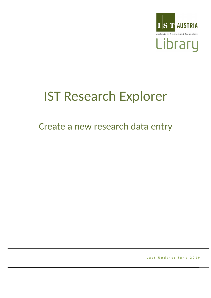

# IST Research Explorer

## Create a new research data entry

**Last Update: June 2019**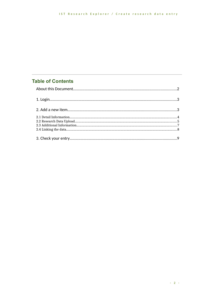## **Table of Contents**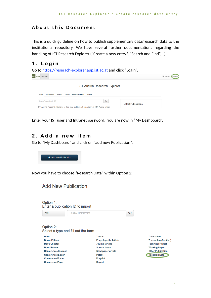## **About this Document**

This is a quick guideline on how to publish supplementary data/research data to the institutional repository. We have several further documentations regarding the handling of IST Research Explorer ("Create a new entry", "Search and Find",…).

## **1. Login**

| <b>IST Austria Research Explorer</b>                                                                                                                      |  |
|-----------------------------------------------------------------------------------------------------------------------------------------------------------|--|
| Home<br><b>Publications</b><br><b>Authors</b><br><b>Grants</b><br><b>Research Groups</b><br>About -                                                       |  |
| Go!<br>Search Publications in IST<br><b>Latest Publications</b><br>IST Austria Research Explorer is the new institutional repository at IST Austria which |  |

Enter your IST user and Intranet password. You are now in "My Dashboard".

## **2. Add a new item**

Go to "My Dashboard" and click on "add new Publication".



Now you have to choose "Research Data" within Option 2:

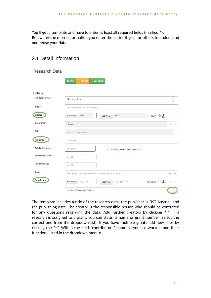You'll get a template and have to enter at least all required fields (marked \*). Be aware: the more information you enter the easier it gets for others to understand and reuse your data.

| <b>Research Data</b>    |                                                                                                               |             |   |                          |
|-------------------------|---------------------------------------------------------------------------------------------------------------|-------------|---|--------------------------|
|                         | <b>Q</b> Save<br>x Cancel<br><b>√ Save Draft</b>                                                              |             |   |                          |
| <b>Details</b>          |                                                                                                               |             |   |                          |
| <b>Publication Type</b> | <b>Research Data</b>                                                                                          |             |   | $\overline{\phantom{a}}$ |
| Title *                 | e.g. Handbook of eBook Publishing                                                                             |             |   |                          |
| Creator <sup>*</sup>    | $\circ$ extern $\circ$ $\bullet$ + -<br><b>First Name</b><br><b>Doris</b><br><b>Ernst</b><br><b>Last Name</b> |             |   |                          |
| <b>Department</b>       | Library                                                                                                       |             |   |                          |
| <b>DOI</b>              | e.g. 10.4119/xyz/2695161                                                                                      |             |   |                          |
| Publisher*              | <b>IST Austria</b>                                                                                            |             |   |                          |
| Publishing Year *       | e.g. 2015<br>Published while not employed at IST                                                              |             |   |                          |
| <b>Publishing Month</b> | e.g. 04                                                                                                       |             |   |                          |
| <b>Publishing Day</b>   | e.g. 21                                                                                                       |             |   |                          |
| Grant                   | Start typing, or use (arrow down) to choose a Grant from the list.                                            |             | ÷ |                          |
| Contributor             | <b>First Name</b><br>e.g. John<br>e.g. Appleseed<br>$\bullet$ extern<br>Last Name                             | $\clubsuit$ | ÷ |                          |
|                         | --- Select Contributor Type ---                                                                               |             |   |                          |

## 2.1 Detail Information

The template includes a title of the research data, the publisher is "IST Austria" and the publishing date. The creator is the responsible person who should be contacted for any questions regarding the data. Add further creators by clicking "+". If a research is assigned to a grant, you can state its name or grant number (select the correct one from the dropdown list). If you have multiple grants add new lines by clicking the "+". Within the field "contributors" name all your co-workers and their function (listed in the dropdown menu):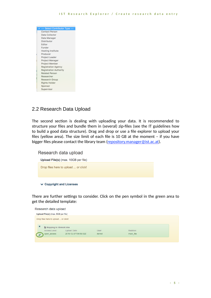

### 2.2 Research Data Upload

The second section is dealing with uploading your data. It is recommended to structure your files and bundle them in (several) zip-files (see the IT guidelines how to build a good data structure). Drag and drop or use a file explorer to upload your files (yellow area). The size limit of each file is 10 GB at the moment – if you have bigger files please contact the library team (repository.manager@ist.ac.at).

Research data upload

Upload File(s) (max. 10GB per file)

Drop files here to upload ... or click!

 $\vee$  Copyright and Licenses

There are further settings to consider. Click on the pen symbol in the green area to get the detailed template:

| Research data upload                                     |                      |        |           |  |
|----------------------------------------------------------|----------------------|--------|-----------|--|
| Upload File(s) (max. 5GB per file)                       |                      |        |           |  |
| Drop files here to upload  or click!                     |                      |        |           |  |
|                                                          |                      |        |           |  |
| ×<br>Mapping to librecat.xlsx                            |                      |        |           |  |
| Access Level:                                            | <b>Upload Date:</b>  | User:  | Relation: |  |
| open_access<br>$\mathcal{L}^{\mathcal{P}}_{\mathcal{P}}$ | 2018-12-07T09:59:02Z | dernst | main file |  |
|                                                          |                      |        |           |  |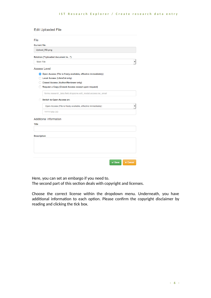| File<br><b>Current file:</b>                                    |  |
|-----------------------------------------------------------------|--|
|                                                                 |  |
|                                                                 |  |
| Upload_RD.png                                                   |  |
| Relation ("Uploaded document is")                               |  |
| <b>Main File</b>                                                |  |
| <b>Access Level</b>                                             |  |
| O Open Access (File is freely available, effective immediately) |  |
| <b>Local Access (LibreCat only)</b>                             |  |
| <b>Closed Access (Author/Reviewer only)</b>                     |  |
| Request a Copy (Closed Access except upon request)              |  |
| forms.research_data.field.dropzone.edit_modal.access.rac_email  |  |
| <b>Switch to Open Access on:</b><br>o                           |  |
| Open Access (File is freely available, effective immediately)   |  |
| YYYY-MM-DD                                                      |  |
| <b>Additional Information</b>                                   |  |
| <b>Title</b>                                                    |  |
|                                                                 |  |
|                                                                 |  |
| <b>Description</b>                                              |  |
|                                                                 |  |
|                                                                 |  |
|                                                                 |  |
|                                                                 |  |
| <b>x</b> Cancel<br>$\vee$ Save                                  |  |

Here, you can set an embargo if you need to.

The second part of this section deals with copyright and licenses.

Choose the correct license within the dropdown menu. Underneath, you have additional information to each option. Please confirm the copyright disclaimer by reading and clicking the tick box.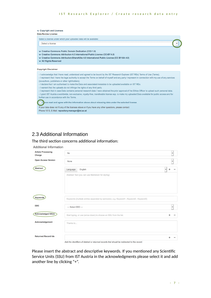#### ↓ Copyright and Licenses

#### Data Re-Use License Select a license under which your uploaded data will be available: Select a license  $\overline{\phantom{a}}$ ▽ Creative Commons Public Domain Dedication (CC0 1.0) ↓ Creative Commons Attribution 4.0 International Public License (CC-BY 4.0) ↓ Creative Commons Attribution-ShareAlike 4.0 International Public License (CC BY-SA 4.0) V All Rights Reserved **Copyright Disclaimer** - I acknowledge that I have read, understood and agreed to be bound by the IST Research Explorer (IST REx) Terms of Use (Terms). - I represent that I have the legal authority to accept the Terms on behalf of myself and any party I represent in connection with my use of any services (co-authors, publishers or other rightholders). - I declare that I am authorised to make the Data and associated metadata to be uploaded available on IST REx. - I warrant that the uploads do not infringe the rights of any third party. - I represent that in case Data contains personal research data I have obtained the prior approval of the Ethics Officer to upload such personal data. - I grant IST Austria a worldwide, non-exclusive, royalty-free, transferable license esp. to make my uploaded Data available for public access and for further use in accordance with the Terms.

ave read and agree with the information above about releasing data under the selected license.

If your data does not fit any of the licenses above or if you have any other questions, please contact: Phone 1013, E-Mail: repository.manager@ist.ac.at

## 2.3 Additional Information

#### The third section concerns additional information:

#### **Additional Information**

| <b>Article Processing</b><br>Charge | <b>No</b>          |                                                                                       | $\overline{\phantom{a}}$ |
|-------------------------------------|--------------------|---------------------------------------------------------------------------------------|--------------------------|
| <b>Open Access Version</b>          | None               |                                                                                       | ۰                        |
| <b>Abstract</b>                     | Language           | English                                                                               | $\overline{\phantom{a}}$ |
|                                     |                    | Abstract Text (you can use Markdown for styling)                                      |                          |
|                                     |                    |                                                                                       |                          |
|                                     |                    |                                                                                       |                          |
|                                     |                    |                                                                                       |                          |
| Keywords                            |                    | Keywords (multiple entries separated by semicolon, e.g. Keyword1; Keyword2; Keyword3) |                          |
| <b>DDC</b>                          | --- Select DDC --- |                                                                                       | ▼                        |
| <b>Acknowledged SSUs</b>            |                    | Start typing, or use (arrow down) to choose an SSU from the list.                     |                          |
| Acknowledgement                     | Thanks to          |                                                                                       |                          |
|                                     |                    |                                                                                       |                          |
| <b>Returned Record Ids</b>          |                    |                                                                                       |                          |

Add the identifiers of deleted or returned records that should be redirected to this record.

Please insert the abstract and descriptive keywords. If you mentioned any Scientific Service Units (SSU) from IST Austria in the acknowledgments please select it and add another line by clicking "+".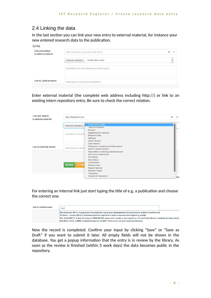## 2.4 Linking the data

In the last section you can link your new entry to external material, for instance your new entered research data to the publication.

| LINKS<br><b>Link and relation</b><br>to external material | URL of external source (enter with http://) |                                                   |  |
|-----------------------------------------------------------|---------------------------------------------|---------------------------------------------------|--|
|                                                           | External material is                        | <b>Confirmation Letter</b>                        |  |
|                                                           |                                             | Description and other details about linked source |  |
| <b>Link to LibreCat record</b>                            | Start typing to search your publications.   |                                                   |  |

Enter external material (the complete web address including http://) or link to an existing intern repository entry. Be sure to check the correct relation.

| <b>Link and relation</b><br>to external material | http://thisisatest.com                                       |                                                                                                                                                                                                                                         |      |
|--------------------------------------------------|--------------------------------------------------------------|-----------------------------------------------------------------------------------------------------------------------------------------------------------------------------------------------------------------------------------------|------|
|                                                  | <b>External material is</b>                                  | $\checkmark$ Confirmation Letter<br><b>Table of Contents</b>                                                                                                                                                                            |      |
|                                                  | Description and other                                        | Erratum<br><b>Supplementary Material</b><br><b>Research Data</b><br>Software<br><b>Earlier Version</b>                                                                                                                                  |      |
| <b>Link to LibreCat record</b>                   | Start typing to search<br><b>&amp; Save</b><br>$\times$ Cand | <b>Later Version</b><br>Publication containing LibreCat record<br>Part of LibreCat record<br>Dissertation containing LibreCat record<br>Part of this Dissertation<br>Old Edition<br><b>New Edition</b><br>Continuation<br>Previous Item |      |
|                                                  |                                                              | <b>Popular Science</b><br><b>Research Paper</b><br>Translation<br><b>Original of Translation</b>                                                                                                                                        | rity |

For entering an internal link just start typing the title of e.g. a publication and choose the correct one.

| <b>Link to LibreCat record</b> | dual                                                                                                                                                                                                                                                                                                                                                                                                                                                                              |
|--------------------------------|-----------------------------------------------------------------------------------------------------------------------------------------------------------------------------------------------------------------------------------------------------------------------------------------------------------------------------------------------------------------------------------------------------------------------------------------------------------------------------------|
|                                | Paul Swoboda (2017): A dual ascent framework for Lagrangean decomposition of combinatorial problems [conference]<br>Torresani, Lorenzo (2012): A dual decomposition approach to feature correspondence [journal_article]<br>Veß, Astrid (2017): A dual phenotype of MDA MB 468 cancer cells reveals mutual regulation of tensin3 and adhesion plasticity [journal article]<br>[Woodford, Oliver J (2009): A global perspective on MAP inference for low level vision [conference] |

Now the record is completed. Confirm your input by clicking "Save" or "Save as Draft" if you want to submit it later. All empty fields will not be shown in the database. You get a popup information that the entry is in review by the library. As soon as the review is finished (within 5 work days) the data becomes public in the repository.